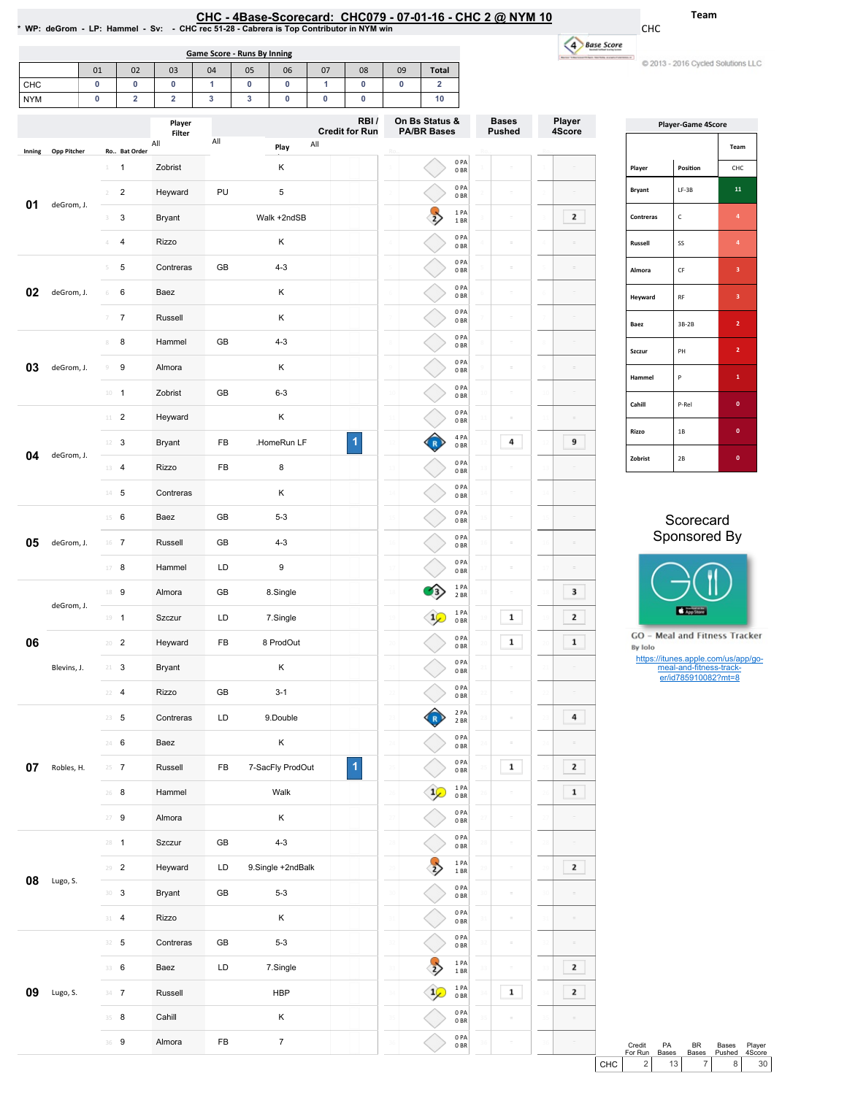| CHC - 4Base-Scorecard: CHC079 - 07-01-16 - CHC 2 @ NYM 10                               |  |
|-----------------------------------------------------------------------------------------|--|
| * WP: deGrom - LP: Hammel - Sv: - CHC rec 51-28 - Cabrera is Top Contributor in NYM win |  |

0PA 0BR  $\begin{array}{c} 1 \text{ PA} \\ 1 \text{ BR} \end{array}$ 

 $\rightarrow$ 

Bases Pushed

 $\alpha$  $\sim$ 

 $\alpha$ 

Ro..

Player 4Score

 $\boxed{2}$ 

4 Base Score

2 2 Heyward PU 5 3 3 Bryant Walk+2ndSB 4 4 Rizzo K

01 deGrom, J.

Team

CHC

u)

|                              |              |                |                  |     | Game Score - Runs By Inning |              |          |                               |    |                                      |
|------------------------------|--------------|----------------|------------------|-----|-----------------------------|--------------|----------|-------------------------------|----|--------------------------------------|
|                              | 01           | 02             | 03               | 04  | 05                          | 06           | 07       | 08                            | 09 | <b>Total</b>                         |
| <b>CHC</b>                   | $\mathbf{0}$ | 0              | 0                |     | $\mathbf{0}$                | $\mathbf{0}$ |          | 0                             | 0  | $\overline{2}$                       |
| <b>NYM</b>                   | O            | $\overline{2}$ | $\overline{2}$   | 3   | 3                           | O            | $\Omega$ | O                             |    | 10                                   |
|                              |              |                | Player<br>Filter |     |                             |              |          | RBI/<br><b>Credit for Run</b> |    | On Bs Status &<br><b>PA/BR Bases</b> |
| Inning<br><b>Opp Pitcher</b> |              | Ro., Bat Order | All              | All |                             | Play         | All      |                               | Ro |                                      |
|                              |              | 1              | Zobrist          |     |                             | ĸ            |          |                               |    | 0PA<br>0 <sub>BR</sub>               |

| <b>CONTINUES</b> | C 2013 - 2016 Cycled Solutions LLC |                         |
|------------------|------------------------------------|-------------------------|
|                  | <b>Player-Game 4Score</b>          |                         |
|                  |                                    | Team                    |
| Player           | Position                           | CHC                     |
| <b>Bryant</b>    | $LF-3B$                            | 11                      |
| Contreras        | C                                  | $\overline{a}$          |
| <b>Russell</b>   | SS                                 | $\overline{4}$          |
| Almora           | CF                                 | $\overline{\mathbf{3}}$ |
| Heyward          | <b>RF</b>                          | 3                       |
| Baez             | $3B-2B$                            | $\overline{2}$          |
| Szczur           | PH                                 | $\overline{2}$          |
| Hammel           | P                                  | $\mathbf{1}$            |
|                  |                                    |                         |

| Baez    | $3B-2B$ | $\overline{2}$ |
|---------|---------|----------------|
| Szczur  | PH      | $\overline{2}$ |
| Hammel  | P       | 1              |
| Cahill  | P-Rel   | $\mathbf{0}$   |
| Rizzo   | 1B      | $\mathbf{0}$   |
| Zobrist | 2B      | $\mathbf{0}$   |

### **Scorecard** Sponsored By



**GO** - Meal and Fitness Tracker By lolo

https://itunes.apple.com/us/app/go-meal-and-fitness-track-er/id785910082?mt=8

|                  | 4<br>4              | Rizzo        |    | Κ                 |                         |               | 0 PA<br>0 <sub>BR</sub>                                       |                |                |                |              |
|------------------|---------------------|--------------|----|-------------------|-------------------------|---------------|---------------------------------------------------------------|----------------|----------------|----------------|--------------|
|                  | 5<br>5              | Contreras    | GB | $4 - 3$           |                         |               | 0PA<br>0 <sub>BR</sub>                                        |                | ÷              |                |              |
| 02<br>deGrom, J. | 6<br>$\,$ 6         | Baez         |    | Κ                 |                         |               | 0PA<br>0 <sub>BR</sub>                                        |                | $\equiv$       |                |              |
|                  | $\overline{7}$<br>7 | Russell      |    | Κ                 |                         |               | 0PA<br>0 <sub>BR</sub>                                        |                | $\equiv$       |                |              |
|                  | 8<br>8              | Hammel       | GB | $4 - 3$           |                         |               | 0PA<br>0 <sub>BR</sub>                                        |                | $\equiv$       |                |              |
| 03<br>deGrom, J. | 9<br>$\mathcal G$   | Almora       |    | Κ                 |                         |               | 0PA<br>0 <sub>BR</sub>                                        |                | $\equiv$       |                |              |
|                  | $10 - 1$            | Zobrist      | GB | $6 - 3$           |                         |               | 0PA<br>0 <sub>BR</sub>                                        | 10             | $\equiv$       | 10             |              |
|                  | $11$ – $2$          | Heyward      |    | Κ                 |                         |               | 0PA<br>0 <sub>BR</sub>                                        |                | ÷              |                |              |
|                  | 12<br>3             | Bryant       | FB | .HomeRun LF       | $\overline{\mathbf{1}}$ |               | 4 PA<br>0 <sub>BR</sub>                                       |                | 4              |                | 9            |
| deGrom, J.       | 13 4                | Rizzo        | FB | 8                 |                         |               | 0PA<br>0 <sub>BR</sub>                                        | 13             |                |                |              |
|                  | $14$ – ${\bf 5}$    | Contreras    |    | Κ                 |                         |               | 0PA<br>0 <sub>BR</sub>                                        | 14             | $\equiv$       |                | $\equiv$     |
|                  | $15 \t 6$           | Baez         | GB | $5 - 3$           |                         |               | 0PA<br>0 <sub>BR</sub>                                        | 15             | Ξ              |                |              |
| deGrom, J.       | $16$ 7              | Russell      | GB | $4 - 3$           |                         |               | 0PA<br>0 <sub>BR</sub>                                        | 16             | $\equiv$       | 16             | $\equiv$     |
|                  | $17 - 8$            | Hammel       | LD | 9                 |                         |               | 0PA<br>0 <sub>BR</sub>                                        | 17             | ٠              |                |              |
|                  | 18 9                | Almora       | GB | 8.Single          |                         |               | 1PA<br>2 BR                                                   | 18             | $\overline{a}$ | 18             | 3            |
| deGrom, J.       | $19 - 1$            | Szczur       | LD | 7.Single          |                         |               | 1PA<br>0 <sub>BR</sub>                                        |                | ${\bf 1}$      |                | 2            |
|                  | $20 - 2$            | Heyward      | FB | 8 ProdOut         |                         |               | 0PA<br>0 <sub>BR</sub>                                        |                | $\mathbf 1$    | 20             | $\mathbf 1$  |
| Blevins, J.      | 21<br>3             | Bryant       |    | Κ                 |                         |               | 0PA<br>0 <sub>BR</sub>                                        |                |                | $\overline{2}$ |              |
|                  | $22 - 4$            | <b>Rizzo</b> | GB | $3 - 1$           |                         |               | 0PA<br>0 <sub>BR</sub>                                        | 22             | ÷              |                | $\equiv$     |
|                  | $\sqrt{5}$<br>23    | Contreras    | LD | 9.Double          |                         |               | 2 PA<br>2 BR                                                  | $\overline{2}$ | ÷              |                | 4            |
|                  | 24 6                | Baez         |    | Κ                 |                         |               | 0PA<br>0 <sub>BR</sub>                                        | 24             | ÷              |                |              |
| Robles, H.       | $25 \t 7$           | Russell      | FB | 7-SacFly ProdOut  | $\overline{\mathbf{1}}$ |               | 0PA<br>0 <sub>BR</sub>                                        |                | 1              |                | 2            |
|                  | $26$ 8              | Hammel       |    | Walk              |                         |               | 1PA<br>0 <sub>BR</sub>                                        | 26             |                | 26             | $\mathbf 1$  |
|                  | $27 - 9$            | Almora       |    | Κ                 |                         |               | 0PA<br>0 <sub>BR</sub>                                        |                |                | 21             |              |
|                  | $28 - 1$            | Szczur       | GB | $4 - 3$           |                         |               | 0PA<br>0 <sub>BR</sub>                                        |                |                |                |              |
|                  | $29 - 2$            | Heyward      | LD | 9.Single +2ndBalk |                         |               | 1 PA<br>1 BR                                                  |                |                |                | $\mathbf 2$  |
| Lugo, S.         | $30-3$              | Bryant       | GB | $5 - 3$           |                         |               | 0PA<br>0BR                                                    |                |                | 30             |              |
|                  | $31 - 4$            | Rizzo        |    | К                 |                         |               | 0 PA<br>0 BR                                                  | 31             |                |                |              |
|                  | $32 - 5$            | Contreras    | GB | $5 - 3$           |                         |               | 0PA<br>0BR                                                    | 32             |                |                | ö            |
|                  | 33 6                | Baez         | LD | 7.Single          |                         |               | 1PA<br>$1\,\mathrm{BR}$                                       | 33             | ö              |                | 2            |
| Lugo, S.         | $34 - 7$            | Russell      |    | HBP               |                         | $\frac{1}{2}$ | $\begin{array}{c} 1 \ \text{PA} \\ 0 \ \text{BR} \end{array}$ | 34             | $\mathbf 1$    |                | $\mathbf{2}$ |
|                  | $35 - 8$            | Cahill       |    | $\sf K$           |                         |               | 0PA<br>0B                                                     | 35             |                |                |              |
|                  | 36 9                | Almora       | FB | $\boldsymbol{7}$  |                         |               | $\begin{array}{c} \texttt{0 PA} \\ \texttt{0 BR} \end{array}$ |                |                |                |              |

Credit ForRun PA Bases BR Bases<br>7 Bases Pushed Credit PA BR Bases Player<br>
For Run Bases Bases Pushed 4Score<br>
CHC 2 13 7 8 30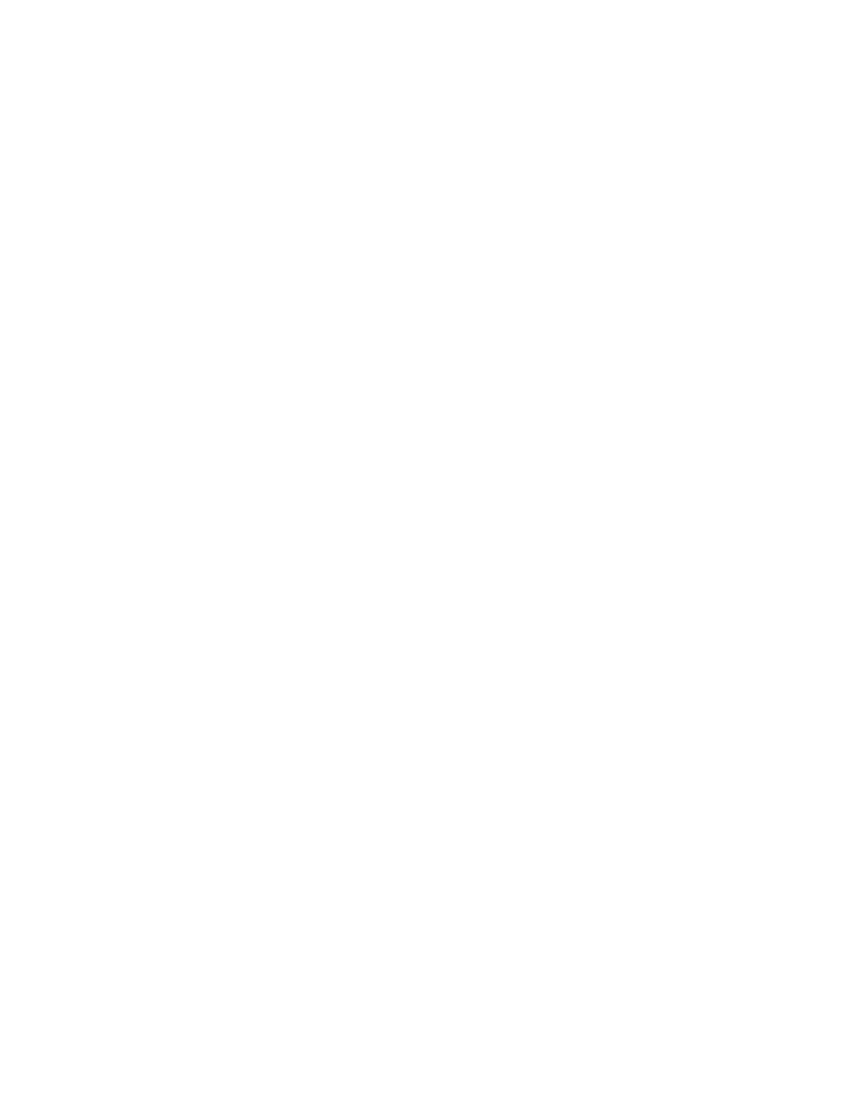| : 3 GH* URP / 3 + DP PHO 6Y |                    | $8+8$ UF               | $8 + 8$              | %DVH6FRU+FDLG &+&<br>& DEUHUD LV 7 RS & ROMMEXWRULD 1 < 0 ZLD |                         |                               | $8+8$ # 1 < 0    |                 | $\cdot$                                       | d u                                                                      |                           |
|-----------------------------|--------------------|------------------------|----------------------|---------------------------------------------------------------|-------------------------|-------------------------------|------------------|-----------------|-----------------------------------------------|--------------------------------------------------------------------------|---------------------------|
|                             |                    |                        |                      | <u>' u ^ } Œr Zµv• C/vv]vP</u>                                |                         |                               |                  |                 |                                               |                                                                          |                           |
| ìí<br>$8 + 8$               | ìî                 | ìï                     | ìð                   | ìó<br>ìñ<br>ìò                                                | ìô                      | ìõ<br>d}šo                    |                  |                 |                                               |                                                                          |                           |
| 1 < 0                       |                    |                        |                      |                                                               |                         |                               |                  |                 |                                               |                                                                          |                           |
|                             |                    | <b>WGCE</b><br>8]oš OE |                      |                                                               | $5\%$<br>& UHGLWIRU5 XQ | 2 Q%V 6 VDWXV<br>3\$ %5 %DVHV | %DVHV<br>3 XVKHG | 30 NHJ<br>6FRUH |                                               | WoÇŒE u ð^}Œ                                                             |                           |
| /vv]vP K‰W}§Z0E             | Z} XX ŠKŒ C        | $\pmb{\circledcirc}$   | $\pmb{\circledcirc}$ | $\pmb{\circledcirc}$<br>WoÇ                                   |                         | i W                           |                  |                 |                                               |                                                                          | d u                       |
|                             | $\mathbb{E}$       | $=$ REUMV              |                      | $\sim$                                                        |                         | $i \, z$<br>ìW                |                  |                 | Wb Ç Œ                                        | VV∙JŸ} v                                                                 | $\overline{\phantom{a}}$  |
| ' OEu UX                    | $\hat{1}$          | $+HZDIG$               | 38                   |                                                               |                         | i Z<br>í W                    |                  |                 | 0Ç vš                                         | >&rï                                                                     | íí                        |
|                             | $\top$             | <b>%UDOW</b>           |                      | : DON: QG6%                                                   |                         | $i$ $z$<br>ìW                 |                  |                 | } všOEOE•                                     |                                                                          |                           |
|                             | ð                  | 5 L ] R                |                      | $\epsilon$                                                    |                         | $i$ Z<br>ìW                   |                  |                 | Zµ oo                                         | $\boldsymbol{\mathsf{M}}$                                                |                           |
|                             | ñ                  | & ROWHUDV              | $*$ %                |                                                               |                         | i Z<br>ìW                     |                  |                 | $\omega \nbrace$ CE                           | &                                                                        | $\Gamma$                  |
| '0EuUX ò                    |                    | %DHJ                   |                      | $\sim$                                                        |                         | i Z                           |                  |                 | , ÇÁ Œ                                        | Z&                                                                       | $\mathbf{I}$              |
|                             | ó                  | 5 XVMO                 |                      | $\epsilon$                                                    |                         | ìW<br>$i$ Z                   |                  |                 | $\mathbf{i}$                                  | $\ddot{\text{I}}$ . If                                                   | $\  \cdot \ $             |
|                             | ô                  | $+DPPHO$               | $*$ %                |                                                               |                         | ìW<br>i Z<br>ìW               |                  |                 | ^Ì ÌμŒ                                        | W                                                                        | $\langle \hat{1} \rangle$ |
| '0,≣uUX õ                   |                    | \$ @ RUD               |                      | $\sim$                                                        |                         | $i$ Z<br>ìW                   |                  |                 | , uu o                                        | W                                                                        | $\langle \hat{1} \rangle$ |
|                             | $-11$              | $=$ REUMV              | $*$ %                |                                                               |                         | ìZ                            |                  |                 | ZJoo                                          | WZ o                                                                     | $\mathbf{H}$              |
|                             | i í                | $+HZDIG$               |                      | $\sim$                                                        |                         | ìW<br>$i$ Z                   |                  |                 | zjì ì }                                       | $\mathbf{f}$                                                             | à.                        |
| ' OEu UX                    | $-11$              | <b>%UDOW</b>           | ) %                  | $+RP$ H <sub>5</sub> XQ/ $)$                                  |                         | ðW<br>$i$ Z                   |                  |                 | $\bullet$ } OEš                               | $\hat{\mathbf{I}}$                                                       | $\mathbf{1}$              |
|                             | fī.                | 54]R                   | ) %                  |                                                               |                         | ìW<br>$i$ Z                   |                  |                 |                                               |                                                                          |                           |
|                             | íð                 | & ROWHUDV              |                      | $\sim$                                                        |                         | ìW<br>ìZ                      |                  |                 |                                               |                                                                          |                           |
|                             | íñ                 | %DHJ                   | $*$ %                |                                                               |                         | ìW<br>$i$ Z                   |                  |                 |                                               | 6 FRUHFDUG                                                               |                           |
| 'QEuUX íò                   |                    | 5 XVVHO                | $*$ %                |                                                               |                         | ìW<br>$i$ Z                   |                  |                 |                                               | 6 SRQVRUHG%                                                              |                           |
|                             | íó                 | $+DPPD$                | $\prime$ '           |                                                               |                         | ìW<br>$i$ Z                   |                  |                 |                                               |                                                                          |                           |
| ' OEu UX                    | íô                 | \$ @ RUD               | $*$ %                | $61QJ$ $\Theta$                                               |                         | í W<br>$i$ Z                  |                  |                 |                                               |                                                                          |                           |
|                             | íõ                 | 6] FJ XU               | $\prime$ '           | $61QJ$ $\Theta$                                               |                         | í W<br>i Z                    |                  |                 |                                               |                                                                          |                           |
|                             | $\hat{1}$          | + H ZDG                | ) %                  | 3 URG2 XW                                                     |                         | ìW<br>i Z                     |                  |                 |                                               |                                                                          |                           |
| o Àv•UX                     | $-11$              | <b>%UDOW</b>           |                      | $\epsilon$                                                    |                         | i W<br>ìZ                     |                  |                 |                                               | KWASV LWACHN DSSOH FRP XV DSS JR<br>PHDODOG ILMOHAV WIDEN<br><b>HUIG</b> | "PW                       |
|                             | îî                 | 54]R                   | $*$ %                |                                                               |                         | ìW<br>$i$ Z                   |                  |                 |                                               |                                                                          |                           |
|                             | $\hat{\mathbb{H}}$ | & ROWHUDV              | $\prime$ .           | ' RXE®                                                        |                         | îW<br>$i$ $z$                 |                  |                 |                                               |                                                                          |                           |
|                             | îŏ                 | %DHJ                   |                      | $\sim 100$                                                    |                         | ìW<br>i Z                     |                  |                 |                                               |                                                                          |                           |
| Z} o.U X                    | îñ                 | 5 XVMO                 | ) %                  | 6 DF) 0 3 URG2 XW                                             |                         | i W<br>i Z                    |                  |                 |                                               |                                                                          |                           |
|                             | îò                 | $+DPPHO$               |                      | : DON                                                         |                         | í W<br>$i$ Z                  |                  |                 |                                               |                                                                          |                           |
|                             | îó                 | \$ OP RUD              |                      | $\sim$                                                        |                         | ìW<br>i Z                     |                  |                 |                                               |                                                                          |                           |
|                             | îô                 | 6] FJ XU               | $*$ %                |                                                               |                         | i W<br>$i$ Z                  |                  |                 |                                               |                                                                          |                           |
|                             | ÎÕ                 | $+HZDUS$               | $\prime$ .           | 6 IQUOH QOP/DON                                               |                         | í W<br>$i$ Z                  |                  |                 |                                               |                                                                          |                           |
| >µP}UNX                     | Tì.                | <b>%UDQW</b>           | $*$ %                |                                                               |                         | ìW<br>ìZ                      |                  |                 |                                               |                                                                          |                           |
|                             | ΪĹ                 | 54]R                   |                      | $\sim$                                                        |                         | ìW<br>$i$ Z                   |                  |                 |                                               |                                                                          |                           |
|                             | ΪÎ                 | & ROWHUDV              | $*$ %                |                                                               |                         | ìW<br>$i$ Z                   |                  |                 |                                               |                                                                          |                           |
|                             | ΪÏ                 | %DHJ                   | $\prime$ .           | $61QJ$ $\Theta$                                               |                         | í W<br>$i$ $z$                |                  |                 |                                               |                                                                          |                           |
| ≯µP}UVX                     | ïð                 | 5 XVMO                 |                      | $+ \%3$                                                       |                         | í W<br>$i$ Z                  |                  |                 |                                               |                                                                          |                           |
|                             | īñ                 | & DKIOD                |                      | $\epsilon$                                                    |                         | ìW<br>i Z                     |                  |                 |                                               |                                                                          |                           |
|                             | Ϊò                 | \$ @ RUD               | ) %                  |                                                               |                         | ìW<br>i Z                     |                  |                 | &UHGLW 3\$<br>) RU5XQ %DVHV %DVHV 3XVKHG 6FRL | %5                                                                       | %DMHV 300AH               |

 $\overline{8+8}$ 

DMHV 30<mark>0</mark>1.HU<br><u>WKHG 6FRUH</u>

 $d<sub>u</sub>$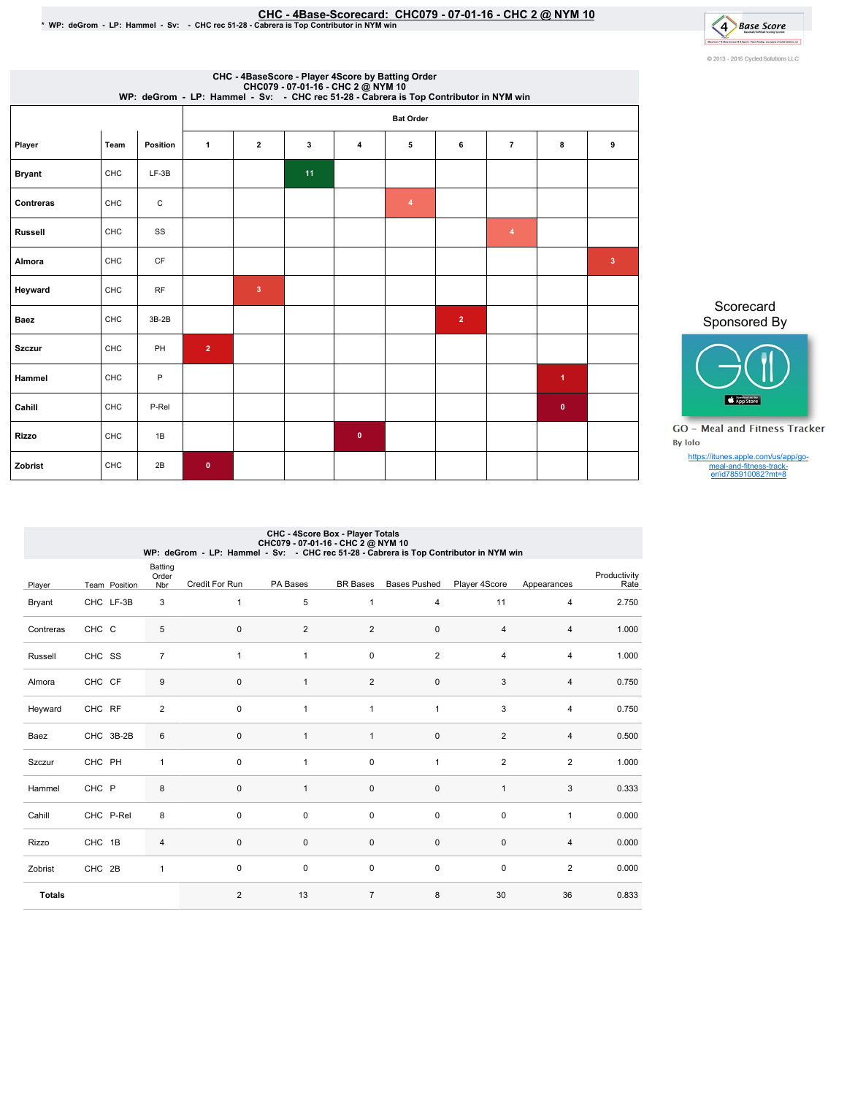# CHC-4Base-Scorecard:CHC079-07-01-16-CHC2@ NYM10 \*WP:deGrom -LP:Hammel-Sv: -CHCrec51-28-CabreraisTopContributorinNYMwin



|                |            |           |                |                         |    | CHC - 4BaseScore - Player 4Score by Batting Order<br>CHC079 - 07-01-16 - CHC 2 @ NYM 10<br>WP: deGrom - LP: Hammel - Sv: - CHC rec 51-28 - Cabrera is Top Contributor in NYM win |                         |                |                |                      |                         |
|----------------|------------|-----------|----------------|-------------------------|----|----------------------------------------------------------------------------------------------------------------------------------------------------------------------------------|-------------------------|----------------|----------------|----------------------|-------------------------|
|                |            |           |                |                         |    |                                                                                                                                                                                  | <b>Bat Order</b>        |                |                |                      |                         |
| Player         | Team       | Position  | $\mathbf{1}$   | $\overline{\mathbf{2}}$ | 3  | 4                                                                                                                                                                                | 5                       | 6              | $\overline{7}$ | 8                    | 9                       |
| <b>Bryant</b>  | CHC        | $LF-3B$   |                |                         | 11 |                                                                                                                                                                                  |                         |                |                |                      |                         |
| Contreras      | <b>CHC</b> | C         |                |                         |    |                                                                                                                                                                                  | $\overline{\mathbf{4}}$ |                |                |                      |                         |
| <b>Russell</b> | CHC        | SS        |                |                         |    |                                                                                                                                                                                  |                         |                | $\overline{4}$ |                      |                         |
| Almora         | CHC        | CF        |                |                         |    |                                                                                                                                                                                  |                         |                |                |                      | $\overline{\mathbf{3}}$ |
| Heyward        | CHC        | <b>RF</b> |                | $\overline{\mathbf{3}}$ |    |                                                                                                                                                                                  |                         |                |                |                      |                         |
| <b>Baez</b>    | CHC        | $3B-2B$   |                |                         |    |                                                                                                                                                                                  |                         | $\overline{2}$ |                |                      |                         |
| <b>Szczur</b>  | CHC        | PH        | $\overline{2}$ |                         |    |                                                                                                                                                                                  |                         |                |                |                      |                         |
| Hammel         | CHC        | P         |                |                         |    |                                                                                                                                                                                  |                         |                |                | $\blacktriangleleft$ |                         |
| Cahill         | CHC        | P-Rel     |                |                         |    |                                                                                                                                                                                  |                         |                |                | $\mathbf 0$          |                         |
| <b>Rizzo</b>   | CHC        | 1B        |                |                         |    | $\pmb{\mathsf{o}}$                                                                                                                                                               |                         |                |                |                      |                         |
| Zobrist        | CHC        | 2B        | $\bullet$      |                         |    |                                                                                                                                                                                  |                         |                |                |                      |                         |

Scorecard Sponsored By



**GO** - Meal and Fitness Tracker By Iolo

https://itunes.apple.com/us/app/gomeal-and-fitness-track-er/id785910082?mt=8

#### Player Team Position Batting Order<br>
Nbr Credit For Run PA Bases BR Bases Bases Pushed Player 4Score Appearances Productivity Rate Bryant CHC LF-3B 3 Contreras CHC C 5 Russell CHC SS 7 Almora CHC CF 9 Heyward CHC RF 2 Baez CHC 3B-2B 6 Szczur CHC PH 1 Hammel CHC P 8 Cahill CHC P-Rel 8 Rizzo CHC 1B 4 Zobrist CHC 2B 1 Totals 1 5 1 4 11 4 2.750 0 2 2 0 4 4 1.000 1 1 0 2 4 4 1.000 0 1 2 0 3 4 0.750 0 1 1 1 3 4 0.750 0 1 1 0 2 4 0.500 0 1 0 1 2 2 1.000 0 1 0 0 1 3 0.333  $0$  0 0 0 0 0 1 0.000  $0$  0 0 0 0 0 4 0.000  $0$  0 0 0 0 0 2 0.000 2 13 7 8 30 36 0.833 CHC - 4Score Box - Player Totals CHC079-07-01-16-CHC2@ NYM10 WP:deGrom -LP:Hammel-Sv: -CHCrec51-28-CabreraisTopContributorinNYMwin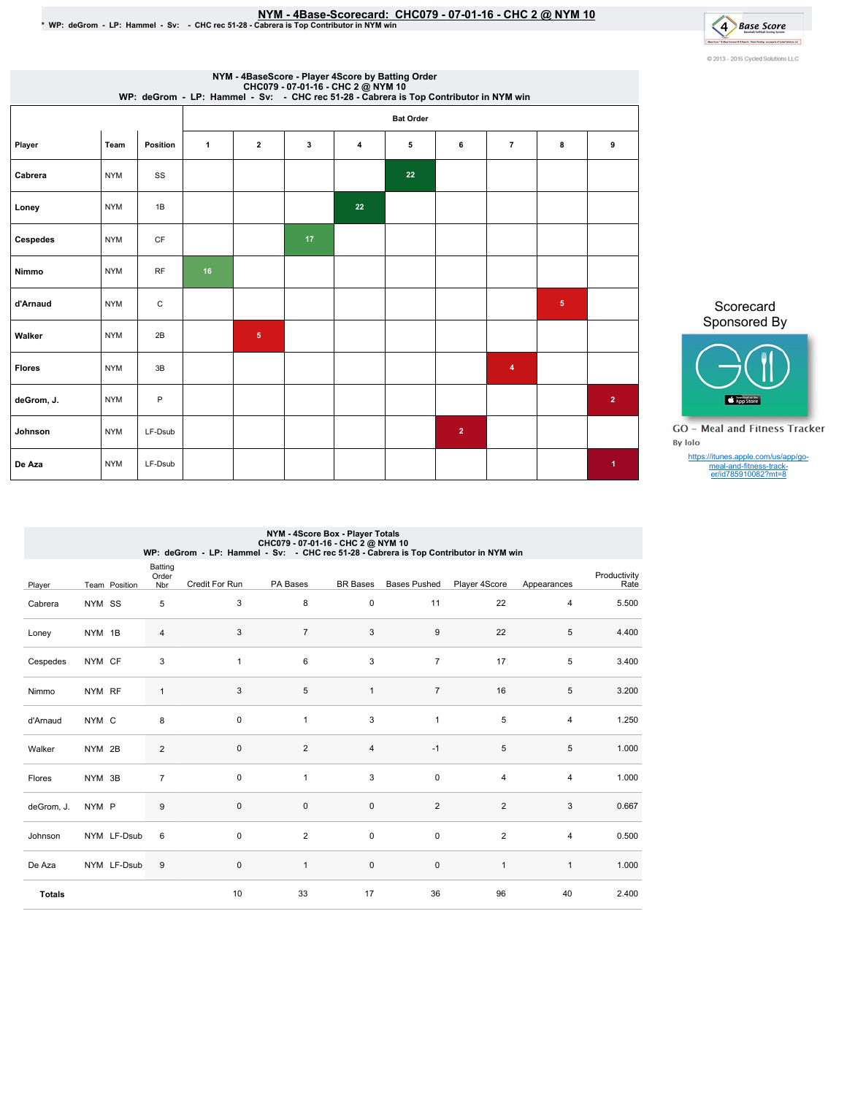# NYM - 4Base-Scorecard: CHC079 - 07-01-16 - CHC 2 @ NYM 10 لـ WP: deGrom - LP: Hammel - Sv: - CHCrec 51-28 - Cabrera is Top Contributor in NYM win



|                 |            |           |              |              |    |    | NYM - 4BaseScore - Player 4Score by Batting Order<br>CHC079 - 07-01-16 - CHC 2 @ NYM 10<br>WP: deGrom - LP: Hammel - Sv: - CHC rec 51-28 - Cabrera is Top Contributor in NYM win |                |                |                |                |
|-----------------|------------|-----------|--------------|--------------|----|----|----------------------------------------------------------------------------------------------------------------------------------------------------------------------------------|----------------|----------------|----------------|----------------|
|                 |            |           |              |              |    |    | <b>Bat Order</b>                                                                                                                                                                 |                |                |                |                |
| Player          | Team       | Position  | $\mathbf{1}$ | $\mathbf{2}$ | 3  | 4  | 5                                                                                                                                                                                | 6              | $\overline{7}$ | 8              | 9              |
| Cabrera         | <b>NYM</b> | SS        |              |              |    |    | 22                                                                                                                                                                               |                |                |                |                |
| Loney           | <b>NYM</b> | 1B        |              |              |    | 22 |                                                                                                                                                                                  |                |                |                |                |
| <b>Cespedes</b> | <b>NYM</b> | CF        |              |              | 17 |    |                                                                                                                                                                                  |                |                |                |                |
| Nimmo           | <b>NYM</b> | <b>RF</b> | 16           |              |    |    |                                                                                                                                                                                  |                |                |                |                |
| d'Arnaud        | <b>NYM</b> | C         |              |              |    |    |                                                                                                                                                                                  |                |                | 5 <sub>5</sub> |                |
| Walker          | <b>NYM</b> | 2B        |              | $\sqrt{5}$   |    |    |                                                                                                                                                                                  |                |                |                |                |
| <b>Flores</b>   | <b>NYM</b> | 3B        |              |              |    |    |                                                                                                                                                                                  |                | 4              |                |                |
| deGrom, J.      | <b>NYM</b> | $\sf P$   |              |              |    |    |                                                                                                                                                                                  |                |                |                | $\overline{2}$ |
| Johnson         | <b>NYM</b> | LF-Dsub   |              |              |    |    |                                                                                                                                                                                  | $\overline{2}$ |                |                |                |
| De Aza          | <b>NYM</b> | LF-Dsub   |              |              |    |    |                                                                                                                                                                                  |                |                |                | 1              |

Scorecard Sponsored By



**GO** - Meal and Fitness Tracker By Iolo

https://itunes.apple.com/us/app/go-meal-and-fitness-track-er/id785910082?mt=8

|               | NYM - 4Score Box - Player Totals<br>CHC079 - 07-01-16 - CHC 2 @ NYM 10<br>WP: deGrom - LP: Hammel - Sv: - CHC rec 51-28 - Cabrera is Top Contributor in NYM win |                                |                |                |                 |                     |                |                |                      |  |  |  |  |
|---------------|-----------------------------------------------------------------------------------------------------------------------------------------------------------------|--------------------------------|----------------|----------------|-----------------|---------------------|----------------|----------------|----------------------|--|--|--|--|
| Player        | Team Position                                                                                                                                                   | <b>Batting</b><br>Order<br>Nbr | Credit For Run | PA Bases       | <b>BR</b> Bases | <b>Bases Pushed</b> | Player 4Score  | Appearances    | Productivity<br>Rate |  |  |  |  |
| Cabrera       | NYM SS                                                                                                                                                          | 5                              | 3              | 8              | $\mathbf 0$     | 11                  | 22             | $\overline{4}$ | 5.500                |  |  |  |  |
| Loney         | NYM 1B                                                                                                                                                          | 4                              | 3              | $\overline{7}$ | 3               | 9                   | 22             | 5              | 4.400                |  |  |  |  |
| Cespedes      | NYM CF                                                                                                                                                          | 3                              | 1              | 6              | 3               | $\overline{7}$      | 17             | 5              | 3.400                |  |  |  |  |
| Nimmo         | NYM RF                                                                                                                                                          | $\mathbf{1}$                   | 3              | 5              | $\mathbf{1}$    | $\overline{7}$      | 16             | 5              | 3.200                |  |  |  |  |
| d'Arnaud      | NYM C                                                                                                                                                           | 8                              | 0              | $\mathbf{1}$   | 3               | $\mathbf{1}$        | 5              | $\overline{4}$ | 1.250                |  |  |  |  |
| Walker        | NYM 2B                                                                                                                                                          | $\overline{2}$                 | $\mathbf 0$    | 2              | $\overline{4}$  | $-1$                | 5              | 5              | 1.000                |  |  |  |  |
| Flores        | NYM 3B                                                                                                                                                          | $\overline{7}$                 | 0              | $\mathbf{1}$   | 3               | $\mathbf 0$         | 4              | $\overline{4}$ | 1.000                |  |  |  |  |
| deGrom, J.    | NYM P                                                                                                                                                           | 9                              | $\mathbf 0$    | $\mathbf 0$    | $\mathbf 0$     | 2                   | 2              | 3              | 0.667                |  |  |  |  |
| Johnson       | NYM LF-Dsub                                                                                                                                                     | 6                              | $\mathbf 0$    | $\overline{2}$ | $\mathbf 0$     | $\mathbf 0$         | $\overline{2}$ | $\overline{4}$ | 0.500                |  |  |  |  |
| De Aza        | NYM LF-Dsub                                                                                                                                                     | 9                              | $\mathbf 0$    | $\mathbf{1}$   | $\mathbf 0$     | $\mathbf 0$         | $\mathbf{1}$   | $\mathbf{1}$   | 1.000                |  |  |  |  |
| <b>Totals</b> |                                                                                                                                                                 |                                | 10             | 33             | 17              | 36                  | 96             | 40             | 2.400                |  |  |  |  |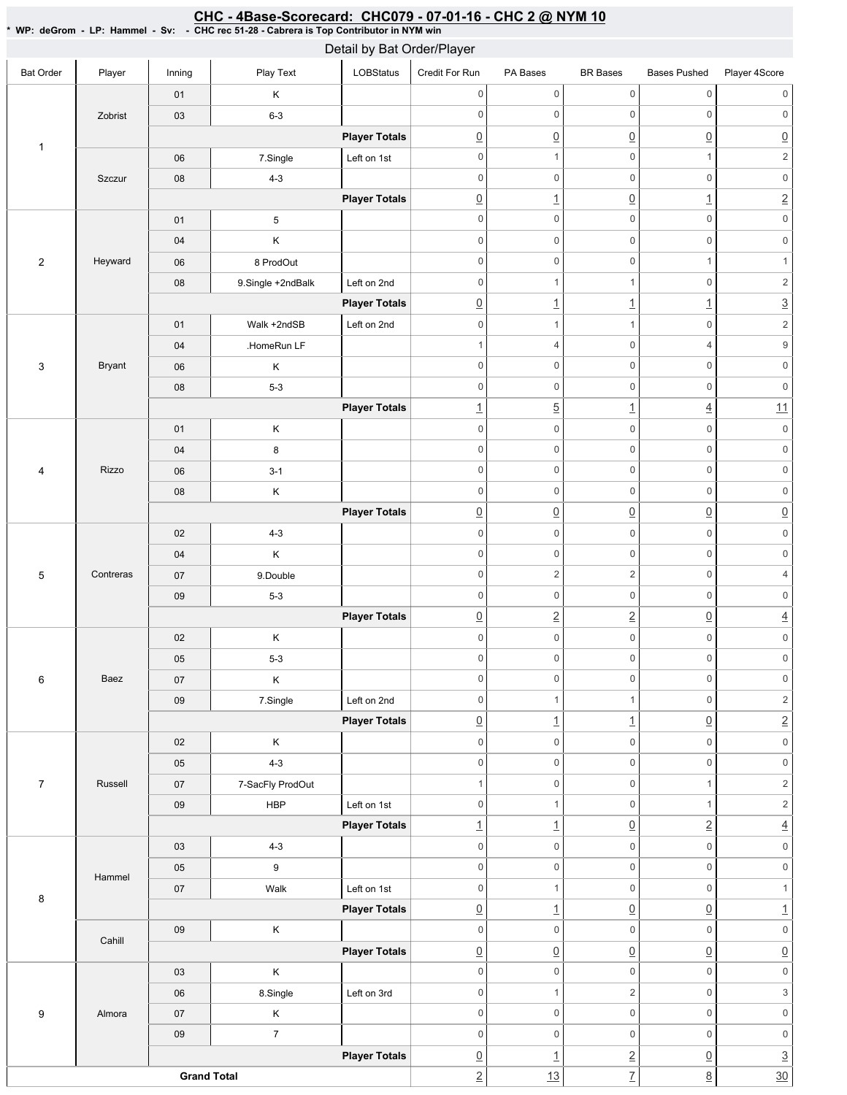| <b>Bat Order</b> | Player        | Inning     | Play Text           | LOBStatus            | Credit For Run                 | PA Bases                               | <b>BR</b> Bases                        | <b>Bases Pushed</b>                    | Player 4Score |
|------------------|---------------|------------|---------------------|----------------------|--------------------------------|----------------------------------------|----------------------------------------|----------------------------------------|---------------|
|                  |               | 01         | Κ                   |                      | $\mathsf{O}\xspace$            | $\mathsf{O}\xspace$                    | $\mathsf 0$                            | $\mathsf{0}$                           |               |
|                  | Zobrist       | 03         | $6 - 3$             |                      | $\mathbf 0$                    | $\mathsf{O}\xspace$                    | $\mathsf 0$                            | $\mathsf{O}\xspace$                    |               |
|                  |               |            |                     | <b>Player Totals</b> | $\underline{0}$                | $\underline{0}$                        | $\overline{0}$                         | $\underline{0}$                        |               |
| 1                |               | 06         | 7.Single            | Left on 1st          | $\mathbf 0$                    | $\mathbf{1}$                           | $\mathbf 0$                            | $\mathbf{1}$                           |               |
|                  | Szczur        | 08         | $4 - 3$             |                      | $\mathbf 0$                    | $\mathsf{O}\xspace$                    | $\mathsf 0$                            | $\mathbf 0$                            |               |
|                  |               |            |                     | <b>Player Totals</b> | $\underline{0}$                | $\underline{\mathbf{1}}$               | $\overline{0}$                         | $\overline{1}$                         |               |
|                  |               | 01         | 5                   |                      | $\mathbf 0$                    | $\mathsf{O}\xspace$                    | $\mathbf 0$                            | $\mathbf 0$                            |               |
|                  |               | 04         | Κ                   |                      | $\mathsf 0$                    | $\mathsf{O}\xspace$                    | $\mathbf 0$                            | $\mathsf{O}\xspace$                    |               |
| $\overline{2}$   | Heyward       | $06\,$     | 8 ProdOut           |                      | $\boldsymbol{0}$               | $\mathsf{O}\xspace$                    | $\mathbf 0$                            | $\mathbf{1}$                           |               |
|                  |               | ${\bf 08}$ | 9.Single +2ndBalk   | Left on 2nd          | $\mathbf 0$                    | $\mathbf{1}$                           | $\mathbf{1}$                           | $\mathbf 0$                            |               |
|                  |               |            |                     | <b>Player Totals</b> | $\underline{0}$                | $\overline{1}$                         | $\overline{1}$                         | $\underline{\mathbf{1}}$               |               |
|                  |               | 01         | Walk +2ndSB         | Left on 2nd          | $\mathbf 0$                    | $\mathbf{1}$                           | $\mathbf{1}$                           | $\mathsf{O}\xspace$                    |               |
|                  |               | 04         | .HomeRun LF         |                      | $\overline{1}$                 | $\sqrt{4}$                             | $\mathsf 0$                            | $\overline{4}$                         |               |
| $\sqrt{3}$       | <b>Bryant</b> | 06         | Κ                   |                      | $\mathbf 0$                    | $\mathsf{O}\xspace$                    | $\mathsf 0$                            | $\mathbf 0$                            |               |
|                  |               | 08         | $5 - 3$             |                      | $\mathbf 0$                    | $\mathsf{O}\xspace$                    | $\mathbf 0$                            | $\mathbf 0$                            |               |
|                  |               |            |                     | <b>Player Totals</b> | $\overline{1}$                 | $\overline{5}$                         | $\overline{1}$                         | $\underline{4}$                        |               |
|                  |               | 01         | $\sf K$             |                      | $\mathbf 0$                    | $\mathsf{O}\xspace$                    | $\mathbf 0$                            | $\mathbf 0$                            |               |
|                  |               | 04         | 8                   |                      | $\mathsf 0$                    | $\mathsf{O}\xspace$                    | $\mathbf 0$                            | $\mathsf{O}\xspace$                    |               |
| 4                | Rizzo         | 06         | $3 - 1$             |                      | $\mathbf 0$                    | $\mathsf{O}\xspace$                    | $\mathbf 0$                            | $\mathbf 0$                            |               |
|                  |               | 08         | $\sf K$             |                      | $\mathsf 0$                    | $\mathsf{O}\xspace$                    | $\mathbf 0$                            | $\mathbf 0$                            |               |
|                  |               |            |                     | <b>Player Totals</b> | $\underline{0}$                | $\underline{0}$                        | $\overline{0}$                         | $\underline{0}$                        |               |
|                  |               | 02         | $4 - 3$             |                      | $\mathbf 0$                    | $\mathsf{O}\xspace$                    | $\mathsf 0$                            | $\mathsf{O}\xspace$                    |               |
|                  |               | 04         | Κ                   |                      | $\mathbf 0$                    | $\mathsf{O}\xspace$                    | $\mathsf 0$                            | $\mathsf{O}\xspace$                    |               |
| 5                | Contreras     | 07         | 9.Double            |                      | $\mathsf{O}\xspace$            | $\sqrt{2}$                             | $\sqrt{2}$                             | $\mathsf{O}\xspace$                    |               |
|                  |               | 09         | $5-3$               |                      | $\boldsymbol{0}$               | $\mathsf{O}\xspace$                    | $\mathsf 0$                            | $\mathsf{O}\xspace$                    |               |
|                  |               |            |                     | <b>Player Totals</b> | $\underline{0}$                | $\overline{2}$                         | $\overline{2}$                         | $\underline{0}$                        |               |
|                  |               | $02\,$     | Κ                   |                      | $\mathsf{O}\xspace$            | $\mathsf{O}\xspace$                    | $\mathsf{O}\xspace$                    | $\mathsf{O}\xspace$                    |               |
|                  |               | 05         | $5 - 3$             |                      | $\mathbf 0$                    | $\mathsf{O}\xspace$                    | $\mathsf 0$                            | $\mathsf{O}\xspace$                    |               |
| $6\phantom{1}6$  | Baez          | 07         | Κ                   |                      | $\mathbf 0$                    | $\mathsf{O}\xspace$                    | $\mathsf 0$                            | $\mathsf{O}$                           |               |
|                  |               | 09         | 7.Single            | Left on 2nd          | $\mathbf 0$                    | $\mathbf{1}$                           | $\mathbf{1}$                           | $\mathsf{O}\xspace$                    |               |
|                  |               |            |                     | <b>Player Totals</b> | $\underline{0}$                | $\overline{1}$                         | $\overline{1}$                         | $\underline{0}$                        |               |
|                  |               | 02         | Κ                   |                      | $\mathbf 0$                    | $\mathsf{O}\xspace$                    | $\mathbf 0$                            | $\mathsf{O}$                           |               |
|                  |               | 05         | $4 - 3$             |                      | $\mathbf 0$                    | $\mathsf{O}\xspace$                    | $\mathbf 0$                            | $\mathsf{O}\xspace$                    |               |
| $\overline{7}$   | Russell       | 07         | 7-SacFly ProdOut    |                      | $\mathbf{1}$                   | $\mathsf{O}\xspace$                    | $\mathbf 0$                            | $\mathbf{1}$                           |               |
|                  |               | 09         | <b>HBP</b>          | Left on 1st          | $\mathbf 0$                    | $\mathbf{1}$                           | $\mathbf 0$                            | $\mathbf{1}$                           |               |
|                  |               |            |                     | <b>Player Totals</b> | $\overline{1}$                 | $\overline{1}$                         | $\overline{0}$                         | $\underline{2}$                        |               |
|                  |               | 03         | $4 - 3$             |                      | $\mathbf 0$                    | $\mathsf{O}\xspace$                    | $\mathbf 0$                            | $\mathsf{O}$                           |               |
|                  |               | 05         | 9                   |                      | $\mathbf 0$                    | $\mathsf{O}\xspace$                    | $\mathbf 0$                            | $\mathsf{O}\xspace$                    |               |
|                  | Hammel        | $07\,$     | Walk                | Left on 1st          | $\mathbf 0$                    | $\mathbf{1}$                           | $\mathbf 0$                            | $\mathbf 0$                            |               |
| 8                |               |            |                     | <b>Player Totals</b> |                                | $\overline{1}$                         | $\underline{0}$                        | $\underline{0}$                        |               |
|                  |               |            |                     |                      | $\underline{0}$<br>$\mathbf 0$ | $\mathsf{O}\xspace$                    | $\mathsf{O}\xspace$                    | $\mathsf{O}\xspace$                    |               |
|                  | Cahill        | $09\,$     | Κ                   | <b>Player Totals</b> |                                |                                        |                                        |                                        |               |
|                  |               | 03         | Κ                   |                      | $\underline{0}$<br>$\mathbf 0$ | $\underline{0}$<br>$\mathsf{O}\xspace$ | $\underline{0}$<br>$\mathsf{O}\xspace$ | $\underline{0}$<br>$\mathsf{O}\xspace$ |               |
|                  |               | 06         |                     | Left on 3rd          | $\mathbf 0$                    | $\mathbf{1}$                           | $\sqrt{2}$                             | $\mathsf{O}\xspace$                    |               |
|                  |               | 07         | 8.Single            |                      | $\mathsf{O}\xspace$            | $\mathsf{O}\xspace$                    | $\mathsf{O}\xspace$                    | $\mathbf 0$                            |               |
| 9                | Almora        |            | Κ<br>$\overline{7}$ |                      | $\mathsf 0$                    | $\mathsf{O}\xspace$                    | $\mathbf 0$                            | $\mathsf{O}\xspace$                    |               |
|                  |               | 09         |                     |                      |                                |                                        |                                        |                                        |               |
|                  |               |            |                     | <b>Player Totals</b> | $\underline{0}$                | $\overline{1}$                         | $\overline{2}$                         | $\underline{0}$                        |               |

CHC - 4Base-Scorecard: CHC079 - 07-01-16 - CHC 2 @ NYM 10